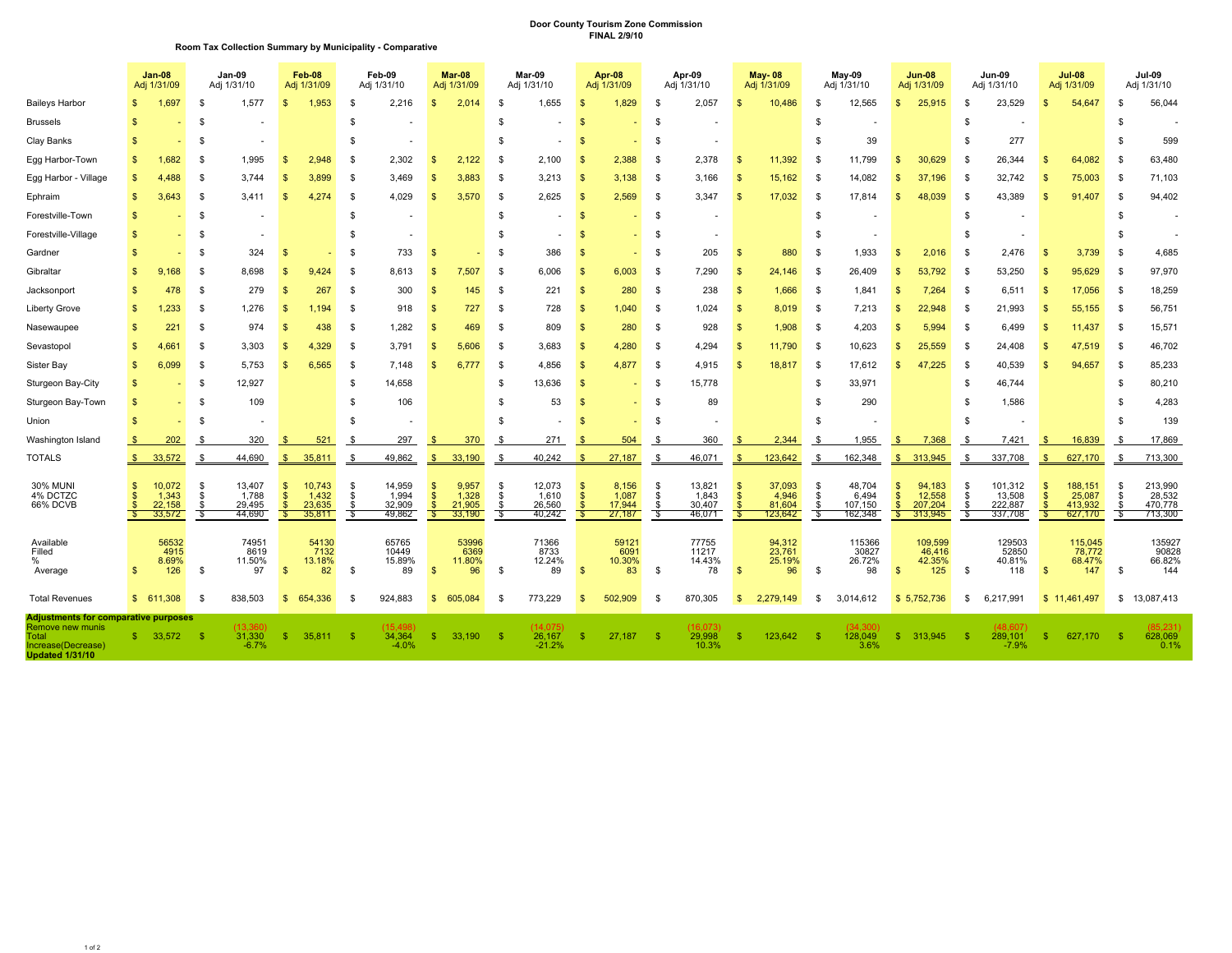## **Door County Tourism Zone Commission FINAL 2/9/10**

| Room Tax Collection Summary by Municipality - Comparative |
|-----------------------------------------------------------|
|-----------------------------------------------------------|

|                                                                                                                   |                     | <b>Jan-08</b><br>Adj 1/31/09        | Jan-09<br>Adj 1/31/10  |                                     | Feb-08<br>Adj 1/31/09                      |                                     | Feb-09<br>Adj 1/31/10  |                                     | Mar-08<br>Adj 1/31/09                      |                                    | Mar-09<br>Adj 1/31/10    |                                     | <b>Apr-08</b><br>Adj 1/31/09 |                                    | Apr-09<br>Adj 1/31/10 |                                     | <b>May-08</b><br>Adj 1/31/09                |                                      | May-09<br>Adj 1/31/10     |                                       | <b>Jun-08</b><br>Adj 1/31/09                     |                                        | Jun-09<br>Adj 1/31/10   |                                         | <b>Jul-08</b><br>Adj 1/31/09             |                                         |                              | Jul-09<br>Adj 1/31/10                   |
|-------------------------------------------------------------------------------------------------------------------|---------------------|-------------------------------------|------------------------|-------------------------------------|--------------------------------------------|-------------------------------------|------------------------|-------------------------------------|--------------------------------------------|------------------------------------|--------------------------|-------------------------------------|------------------------------|------------------------------------|-----------------------|-------------------------------------|---------------------------------------------|--------------------------------------|---------------------------|---------------------------------------|--------------------------------------------------|----------------------------------------|-------------------------|-----------------------------------------|------------------------------------------|-----------------------------------------|------------------------------|-----------------------------------------|
| <b>Baileys Harbor</b>                                                                                             | S                   | 1.697                               | -S                     | 1,577                               | \$.                                        | 1,953                               | \$                     | 2,216                               | <b>S</b>                                   | 2,014                              | - \$                     | 1,655                               |                              | 1,829                              | S                     | 2,057                               | -\$                                         | 10.486                               | - \$                      | 12,565                                | -S                                               | 25,915                                 | \$                      | 23,529                                  | <b>S</b>                                 | 54,647                                  | - \$                         | 56,044                                  |
| <b>Brussels</b>                                                                                                   |                     |                                     | -S                     |                                     |                                            |                                     | \$                     |                                     |                                            |                                    | - \$                     |                                     |                              |                                    | \$.                   |                                     |                                             |                                      | - \$                      |                                       |                                                  |                                        | \$                      |                                         |                                          |                                         | - \$                         |                                         |
| Clay Banks                                                                                                        |                     |                                     | \$                     |                                     |                                            |                                     | \$                     |                                     |                                            |                                    | -S                       |                                     |                              |                                    | -9                    |                                     |                                             |                                      | -S                        | 39                                    |                                                  |                                        | S                       | 277                                     |                                          |                                         | -S                           | 599                                     |
| Egg Harbor-Town                                                                                                   |                     | 1,682                               | - \$                   | 1,995                               | S                                          | 2,948                               | \$                     | 2,302                               |                                            | 2,122                              | - \$                     | 2,100                               |                              | 2,388                              | -S                    | 2,378                               | -S                                          | 11,392                               | - \$                      | 11,799                                | £.                                               | 30,629                                 | S                       | 26,344                                  |                                          | 64,082                                  | - \$                         | 63,480                                  |
| Egg Harbor - Village                                                                                              | $\mathbf{s}$        | 4.488                               | \$                     | 3,744                               |                                            | 3.899                               | \$                     | 3,469                               |                                            | 3,883                              | - \$                     | 3,213                               |                              | 3,138                              | -S                    | 3,166                               | - \$                                        | 15,162                               | - \$                      | 14,082                                |                                                  | 37.196                                 | - \$                    | 32,742                                  | -9                                       | 75,003                                  | - \$                         | 71,103                                  |
| Ephraim                                                                                                           | S                   | 3.643                               | \$.                    | 3.411                               | - \$                                       | 4.274                               | -S                     | 4,029                               | - S                                        | 3,570                              | - \$                     | 2,625                               | S                            | 2,569                              | - \$                  | 3,347                               | - \$                                        | 17,032                               | - \$                      | 17,814                                | -S                                               | 48,039                                 | - \$                    | 43,389                                  | -S                                       | 91,407                                  | - \$                         | 94,402                                  |
| Forestville-Town                                                                                                  |                     |                                     | \$                     |                                     |                                            |                                     | \$                     |                                     |                                            |                                    | - \$                     |                                     |                              |                                    | S                     |                                     |                                             |                                      | -S                        |                                       |                                                  |                                        | \$                      |                                         |                                          |                                         | - \$                         |                                         |
| Forestville-Village                                                                                               |                     |                                     | -S                     |                                     |                                            |                                     | \$                     |                                     |                                            |                                    | - \$                     |                                     |                              |                                    | S                     |                                     |                                             |                                      | -S                        |                                       |                                                  |                                        | \$                      |                                         |                                          |                                         | - \$                         |                                         |
| Gardner                                                                                                           | S                   |                                     | - \$                   | 324                                 | -9                                         |                                     | \$                     | 733                                 | S                                          |                                    | - \$                     | 386                                 | - \$                         |                                    | - \$                  | 205                                 | - \$                                        | 880                                  | - \$                      | 1.933                                 | -S                                               | 2.016                                  | - \$                    | 2.476                                   | - \$                                     | 3,739                                   | - \$                         | 4,685                                   |
| Gibraltar                                                                                                         | S                   | 9,168                               | \$                     | 8,698                               | S.                                         | 9,424                               | \$                     | 8,613                               |                                            | 7,507                              | - \$                     | 6,006                               |                              | 6,003                              | -9                    | 7,290                               | -S                                          | 24,146                               | - \$                      | 26,409                                |                                                  | 53,792                                 | - \$                    | 53,250                                  |                                          | 95,629                                  | \$                           | 97,970                                  |
| Jacksonport                                                                                                       | S                   | 478                                 | \$                     | 279                                 | -9                                         | 267                                 | \$                     | 300                                 |                                            | 145                                | - \$                     | 221                                 |                              | 280                                | -S                    | 238                                 | - \$                                        | 1,666                                | - \$                      | 1,841                                 |                                                  | 7,264                                  | - \$                    | 6,511                                   | - \$                                     | 17,056                                  | \$                           | 18,259                                  |
| Liberty Grove                                                                                                     | S                   | 1,233                               | \$                     | 1,276                               | - \$                                       | 1.194                               | -S                     | 918                                 | - S                                        | 727                                | - \$                     | 728                                 | - \$                         | 1.040                              | - \$                  | 1,024                               | - \$                                        | 8.019                                | - \$                      | 7,213                                 | -96                                              | 22.948                                 | - \$                    | 21,993                                  | - \$                                     | 55,155                                  | - \$                         | 56,751                                  |
| Nasewaupee                                                                                                        | S                   | 221                                 | \$                     | 974                                 |                                            | 438                                 | \$                     | 1,282                               |                                            | 469                                | - \$                     | 809                                 |                              | 280                                | - \$                  | 928                                 | - \$                                        | 1,908                                | - \$                      | 4,203                                 |                                                  | 5,994                                  | - \$                    | 6,499                                   |                                          | 11,437                                  | - \$                         | 15,571                                  |
| Sevastopol                                                                                                        | S                   | 4.661                               | \$                     | 3,303                               | S                                          | 4.329                               | -S                     | 3,791                               |                                            | 5.606                              | - \$                     | 3.683                               |                              | 4.280                              | -9                    | 4,294                               | -S                                          | 11.790                               | - \$                      | 10,623                                |                                                  | 25.559                                 | - \$                    | 24,408                                  |                                          | 47,519                                  | - \$                         | 46,702                                  |
| Sister Bay                                                                                                        | S                   | 6,099                               | - \$                   | 5,753                               | \$.                                        | 6,565                               | - \$                   | 7,148                               |                                            | 6,777                              | - \$                     | 4,856                               | - \$                         | 4,877                              | - \$                  | 4,915                               | -S                                          | 18,817                               | - \$                      | 17,612                                | Я                                                | 47,225                                 | - \$                    | 40,539                                  | -96                                      | 94,657                                  | -\$                          | 85,233                                  |
| Sturgeon Bay-City                                                                                                 |                     |                                     | \$.                    | 12,927                              |                                            |                                     | \$                     | 14,658                              |                                            |                                    | - \$                     | 13,636                              |                              |                                    | S                     | 15,778                              |                                             |                                      | -S                        | 33,971                                |                                                  |                                        | \$                      | 46,744                                  |                                          |                                         | - \$                         | 80,210                                  |
| Sturgeon Bay-Town                                                                                                 | S                   |                                     | \$                     | 109                                 |                                            |                                     | \$                     | 106                                 |                                            |                                    | \$                       | 53                                  |                              |                                    | - \$                  | 89                                  |                                             |                                      | -S                        | 290                                   |                                                  |                                        | <b>S</b>                | 1,586                                   |                                          |                                         | - \$                         | 4,283                                   |
| Union                                                                                                             |                     |                                     | \$                     |                                     |                                            |                                     | \$                     |                                     |                                            |                                    | - \$                     |                                     | - \$                         |                                    | -S                    |                                     |                                             |                                      | -S                        |                                       |                                                  |                                        | \$                      |                                         |                                          |                                         | - \$                         | 139                                     |
| Washington Island                                                                                                 |                     | 202                                 | \$                     | 320                                 |                                            | 521                                 | \$                     | 297                                 |                                            | 370                                | \$                       | 271                                 |                              | 504                                | £.                    | 360                                 |                                             | 2,344                                | -S                        | 1,955                                 | -S                                               | 7,368                                  | \$.                     | 7,421                                   |                                          | 16,839                                  | - \$                         | 17,869                                  |
| <b>TOTALS</b>                                                                                                     |                     | \$33,572                            | \$                     | 44,690                              | - \$                                       | 35,811                              | - \$                   | 49,862                              | - \$                                       | 33,190                             | - \$                     | 40,242                              | <b>\$</b>                    | 27,187                             | - \$                  | 46,071                              | - \$                                        | 123,642                              | - \$                      | 162,348                               |                                                  | \$313,945                              | - \$                    | 337,708                                 | - \$                                     | 627,170                                 | - \$                         | 713,300                                 |
| 30% MUNI<br>4% DCTZC<br>66% DCVB                                                                                  | S<br><b>S</b><br>£. | 10,072<br>1,343<br>22,158<br>33,572 | \$<br>- \$<br>\$<br>-S | 13,407<br>1.788<br>29,495<br>44,690 | - \$<br>$\mathbf{s}$<br>$\mathbf{s}$<br>-S | 10,743<br>1.432<br>23,635<br>35,811 | - \$<br>\$<br>\$<br>-Š | 14,959<br>1.994<br>32,909<br>49,862 | - \$<br>S.<br>$\mathbf{s}$<br>$\mathbf{s}$ | 9,957<br>1,328<br>21,905<br>33,190 | - \$<br>\$<br>\$<br>- \$ | 12,073<br>1,610<br>26,560<br>40,242 | - \$<br>- \$                 | 8,156<br>1,087<br>17,944<br>27,187 | S<br>S.<br>S<br>`\$   | 13,821<br>1.843<br>30,407<br>46,071 | -\$<br>$\mathbf{s}$<br>$\mathbf{s}$<br>- \$ | 37,093<br>4,946<br>81,604<br>123,642 | - \$<br>- \$<br>- \$<br>S | 48,704<br>6.494<br>107,150<br>162,348 | -S<br>$\mathbf{s}$<br>$\mathbb{S}$<br>$^{\circ}$ | 94,183<br>12.558<br>207,204<br>313,945 | S<br>- \$<br>- \$<br>-S | 101,312<br>13.508<br>222,887<br>337,708 | -S<br>$\mathbf{s}$<br>$\mathbf{S}$<br>-S | 188,151<br>25,087<br>413,932<br>627,170 | - \$<br>- \$<br>- \$<br>- \$ | 213,990<br>28,532<br>470,778<br>713,300 |
| Available<br>Filled<br>%<br>Average                                                                               | \$                  | 56532<br>4915<br>8.69%<br>126       | \$                     | 74951<br>8619<br>11.50%<br>97       | $\mathbf{s}$                               | 54130<br>7132<br>13.18%<br>82       | \$                     | 65765<br>10449<br>15.89%<br>89      | <b>S</b>                                   | 53996<br>6369<br>11.80%<br>96      | - \$                     | 71366<br>8733<br>12.24%<br>89       | -\$                          | 59121<br>6091<br>10.30%<br>83      | \$                    | 77755<br>11217<br>14.43%<br>78      | -\$                                         | 94,312<br>23.761<br>25.19%<br>96     | - \$                      | 115366<br>30827<br>26.72%<br>98       | - \$                                             | 109,599<br>46.416<br>42.35%<br>125     | - \$                    | 129503<br>52850<br>40.81%<br>118        | -S                                       | 115,045<br>78,772<br>68.47%<br>147      | \$                           | 135927<br>90828<br>66.82%<br>144        |
| <b>Total Revenues</b>                                                                                             |                     | \$611,308                           | \$                     | 838,503                             |                                            | \$654,336                           | \$                     | 924,883                             | \$.                                        | 605,084                            | - \$                     | 773,229                             |                              | 502,909                            | -9                    | 870,305                             | \$                                          | 2,279,149                            | -S                        | 3,014,612                             |                                                  | \$5,752,736                            | \$                      | 6,217,991                               |                                          | \$11,461,497                            |                              | \$ 13,087,413                           |
| Adjustments for comparative purposes<br>Remove new munis<br>Total<br>Increase(Decrease)<br><b>Updated 1/31/10</b> |                     | 33,572                              | - \$                   | (13.360)<br>31,330<br>$-6.7%$       |                                            | 35,811                              | - \$                   | (15.498)<br>34,364<br>$-4.0%$       |                                            | 33,190                             | - \$                     | (14.075)<br>26,167<br>$-21.2%$      |                              | 27,187                             | - \$                  | (16.073)<br>29,998<br>10.3%         |                                             | 123,642                              | - SS                      | (34, 300)<br>128,049<br>3.6%          | \$.                                              | 313,945                                | - \$                    | (48.607)<br>289,101<br>$-7.9%$          |                                          | 627,170                                 | - \$                         | (85.231)<br>628,069<br>0.1%             |